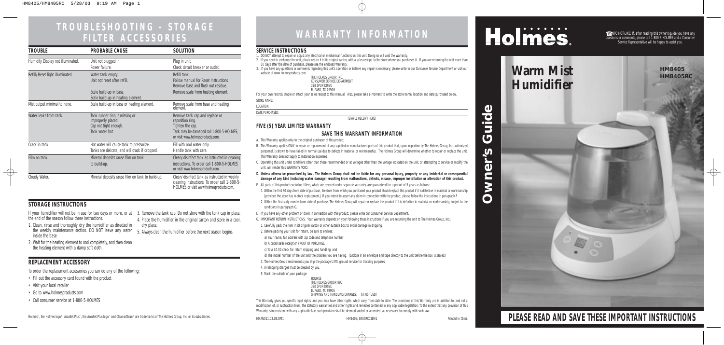# **TROUBLESHOOTING - STORAGE**

## **FILTER ACCESSORIES WARRANTY INFORMATION**

☎ INFO HOT-LINE: If, after reading this owner's guide you have any questions or comments, please call 1-800-5-HOLMES and a Consumer Service Representative will be happy to assist you.

**PLEASE READ AND SAVE THESE IMPORTANT INSTRUCTIONS**

#### **SERVICE INSTRUCTIONS**

- 1. DO NOT attempt to repair or adjust any electrical or mechanical functions on this unit. Doing so will void the Warranty.
- 2. If you need to exchange the unit, please return it in its original carton, with a sales receipt, to the store where you purchased it. If you are returning the unit more than 30 days after the date of purchase, please see the enclosed Warranty.
- 3. If you have any questions or comments regarding this unit's operation or believe any repair is necessary, please write to our Consumer Service Department or visit our website at www.holmesproducts.com.

| THE HOLMES GROUP. INC.      |  |
|-----------------------------|--|
| CONSUMER SERVICE DEPARTMENT |  |
| 32B SPUR DRIVE              |  |
| EL PASO, TX 79906           |  |

For your own records, staple or attach your sales receipt to this manual. Also, please take a moment to write the store name/location and date purchased below.

|--|

LOCATION:

DATE PURCHASED:

(STAPLE RECEIPT HERE)

#### **FIVE (5) YEAR LIMITED WARRANTY**

#### **SAVE THIS WARRANTY INFORMATION**

This Warranty gives you specific legal rights, and you may have other rights which vary from state to state. The provisions of this Warranty are in addition to, and not a modification of, or subtraction from, the statutory warranties and other rights and remedies contained in any applicable legislation. To the extent that any provision of this Warranty is inconsistent with any applicable law, such provision shall be deemed voided or amended, as necessary, to comply with such law.

\$7.00 (USD)

# Holmes.

- A. This Warranty applies only to the original purchaser of this product.
- B. This Warranty applies ONLY to repair or replacement of any supplied or manufactured parts of this product that, upon inspection by The Holmes Group, Inc. authorized personnel, is shown to have failed in normal use due to defects in material or workmanship. The Holmes Group will determine whether to repair or replace the unit. This Warranty does not apply to installation expenses.
- C. Operating this unit under conditions other than those recommended or at voltages other than the voltage indicated on the unit, or attempting to service or modify the unit, will render this WARRANTY VOID.
- **D. Unless otherwise proscribed by law, The Holmes Group shall not be liable for any personal injury, property or any incidental or consequential damage of any kind (including water damage) resulting from malfunctions, defects, misuse, improper installation or alteration of this product.**
- E. All parts of this product excluding filters, which are covered under separate warranty, are guaranteed for a period of 5 years as follows:
- 1. Within the first 30 days from date of purchase, the store from which you purchased your product should replace this product if it is defective in material or workmanship (provided the store has in-stock replacement.) If you intend to assert any claim in connection with the product, please follow the instructions in paragraph F.
- 2. Within the first sixty months from date of purchase, The Holmes Group will repair or replace the product if it is defective in material or workmanship, subject to the conditions in paragraph G.
- F. If you have any other problem or claim in connection with this product, please write our Consumer Service Department.
- G. IMPORTANT RETURN INSTRUCTIONS. Your Warranty depends on your following these instructions if you are returning the unit to The Holmes Group, Inc.:
- 1. Carefully pack the item in its original carton or other suitable box to avoid damage in shipping.
- 2. Before packing your unit for return, be sure to enclose:
- a) Your name, full address with zip code and telephone number
- b) A dated sales receipt or PROOF OF PURCHASE,
- c) Your \$7.00 check for return shipping and handling, and
- d) The model number of the unit and the problem you are having. (Enclose in an envelope and tape directly to the unit before the box is sealed.)
- 3. The Holmes Group recommends you ship the package U.P.S. ground service for tracking purposes.
- 4. All shipping charges must be prepaid by you.
- 5. Mark the outside of your package:

## **Warm Mist Warm Mist Humidifier**

 $\oplus$ 

| <b>HOLMES</b>                  |
|--------------------------------|
| THE HOLMES GROUP. INC.         |
| 32B SPUR DRIVE                 |
| EL PASO, TX 79906              |
| SHIPPING AND HANDLING CHARGES: |

the end of the season follow these instructions.

- 1. Clean, rinse and thoroughly dry the humidifier as directed in the weekly maintenance section. DO NOT leave any water inside the base. 5. Always clean the humidifier before the next season begins.
- 2. Wait for the heating element to cool completely, and then clean the heating element with a damp soft cloth.

If your humidifier will not be in use for two days or more, or at 3. Remove the tank cap. Do not store with the tank cap in place. 4. Place the humidifier in the original carton and store in a cool, dry place.

To order the replacement accessories you can do any of the following:

- Fill out the accessory card found with the product
- Visit your local retailer
- Go to www.holmesproducts.com
- Call consumer service at 1-800-5-HOLMES

Holmes®, the Holmes logo®, AccuSet Plus™, the AccuSet Plus logo™ and CleanseClean® are trademarks of The Holmes Group, Inc. or its subsidiaries. How have have holmed in china HMAN011.03.US.OM1 HM8405/8405RC03EM1 Printed in

### **STORAGE INSTRUCTIONS**

 $\overline{\oplus}$ 

### **REPLACEMENT ACCESSORY**

| TROUBLE                           | <b>PROBABLE CAUSE</b>                                                                            | SOLUTION                                                                                                                                               |
|-----------------------------------|--------------------------------------------------------------------------------------------------|--------------------------------------------------------------------------------------------------------------------------------------------------------|
| Humidity Display not illuminated. | Unit not plugged in.<br>Power failure.                                                           | Plug in unit.<br>Check circuit breaker or outlet.                                                                                                      |
| Refill/Reset light illuminated.   | Water tank empty.<br>Unit not reset after refill.                                                | Refill tank.<br><b>Follow manual for Reset Instructions.</b><br>Remove base and flush out residue.                                                     |
|                                   | Scale build-up in base.<br>Scale build-up in heating element.                                    | Remove scale from heating element.                                                                                                                     |
| Mist output minimal to none.      | Scale build-up in base or heating element.                                                       | Remove scale from base and heating<br>element.                                                                                                         |
| Water leaks from tank.            | Tank rubber ring is missing or<br>improperly placed.<br>Cap not tight enough.<br>Tank water hot. | Remove tank cap and replace or<br>reposition ring.<br>Tighten the cap.<br>Tank may be damaged call 1-800-5-HOLMES,<br>or visit www.holmesproducts.com. |
| Crack in tank.                    | Hot water will cause tank to pressurize.<br>Tanks are delicate, and will crack if dropped.       | Fill with cool water only.<br>Handle tank with care.                                                                                                   |
| Film on tank.                     | Mineral deposits cause film on tank<br>to build-up.                                              | Clean/disinfect tank as instructed in cleaning<br>instructions. To order call 1-800-5-HOLMES<br>or visit www.holmesproducts.com.                       |
| Cloudy Water.                     | Mineral deposits cause film on tank to build-up.                                                 | Clean/disinfect tank as instructed in weekly<br>cleaning instructions. To order call 1-800-5-<br>HOLMES or visit www.holmesproducts.com.               |